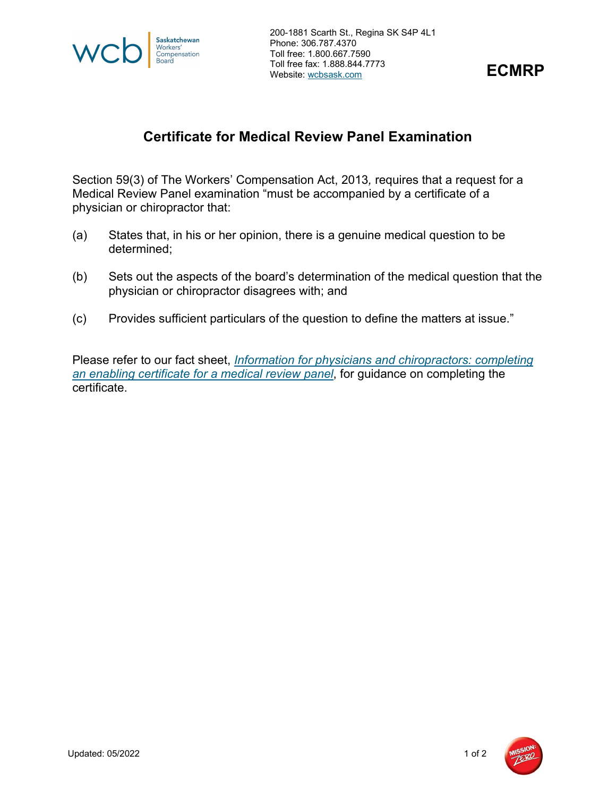

200-1881 Scarth St., Regina SK S4P 4L1 Phone: 306.787.4370 Toll free: 1.800.667.7590 Toll free fax: 1.888.844.7773 Website: wcbsask.com



## **Certificate for Medical Review Panel Examination**

Section 59(3) of The Workers' Compensation Act, 2013*,* requires that a request for a Medical Review Panel examination "must be accompanied by a certificate of a physician or chiropractor that:

- (a) States that, in his or her opinion, there is a genuine medical question to be determined;
- (b) Sets out the aspects of the board's determination of the medical question that the physician or chiropractor disagrees with; and
- (c) Provides sufficient particulars of the question to define the matters at issue."

Please refer to our fact sheet, *[Information for physicians and chiropractors: completing](https://www.wcbsask.com/sites/default/files/2020-10/07.08.15.Information-for-Physicians-and-Chiropractors.pdf)  [an enabling certificate for a medical review panel](https://www.wcbsask.com/sites/default/files/2020-10/07.08.15.Information-for-Physicians-and-Chiropractors.pdf)*, for guidance on completing the certificate.